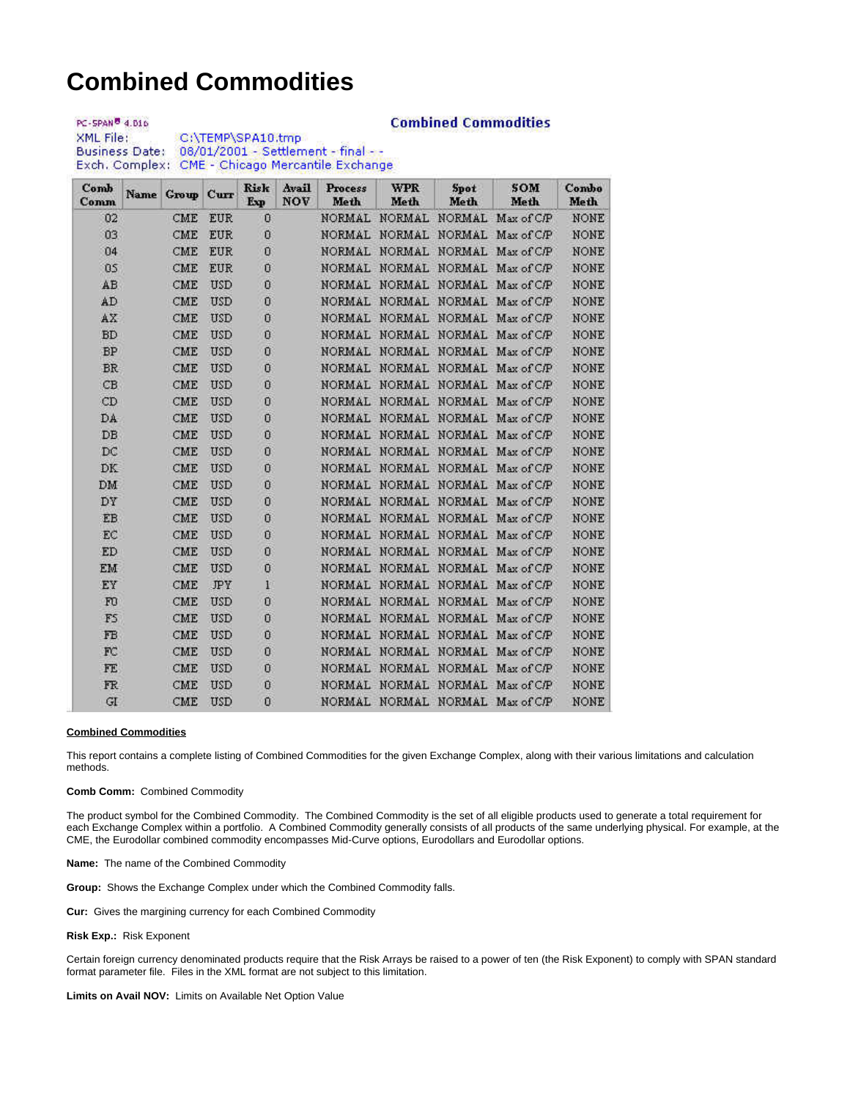# **Combined Commodities**

**Combined Commodities** 

PC-SPAN<sup>8</sup> 4.016 C:\TEMP\SPA10.tmp XML File: Business Date: 08/01/2001 - Settlement - final - -Exch. Complex: CME - Chicago Mercantile Exchange

| Comb<br>Comm | Name | Group | Curr       | <b>Risk</b><br>Exp | Avail<br><b>NOV</b> | Process<br>Meth | <b>WPR</b><br>Meth   | Spot<br>Meth  | <b>SOM</b><br>Meth              | Combo<br>Meth |
|--------------|------|-------|------------|--------------------|---------------------|-----------------|----------------------|---------------|---------------------------------|---------------|
| 02           | CME  |       | <b>EUR</b> | Ũ                  |                     | <b>NORMAL</b>   | <b>NORMAL</b>        | <b>NORMAL</b> | Max of C/P                      | NONE          |
| 03           |      | CME   | <b>EUR</b> | $\theta$           |                     |                 | NORMAL NORMAL NORMAL |               | Max of C/P                      | <b>NONE</b>   |
| 04           |      | CME   | <b>EUR</b> | 0                  |                     |                 | NORMAL NORMAL NORMAL |               | Max of C/P                      | <b>NONE</b>   |
| 05           |      | CME   | <b>EUR</b> | Ü                  |                     |                 | NORMAL NORMAL NORMAL |               | Max of C/P                      | NONE          |
| AB           |      | CME   | <b>USD</b> | $\mathbf{D}$       |                     |                 | NORMAL NORMAL NORMAL |               | Max of C/P                      | <b>NONE</b>   |
| AD           |      | CME   | <b>USD</b> | 0                  |                     |                 | NORMAL NORMAL NORMAL |               | Max of C/P                      | NONE          |
| AX           |      | CME   | USD        | Ū                  |                     |                 | NORMAL NORMAL NORMAL |               | Max of C/P                      | NONE          |
| <b>BD</b>    |      | CME   | <b>USD</b> | 0                  |                     |                 |                      |               | NORMAL NORMAL NORMAL Max of C/P | NONE          |
| <b>BP</b>    |      | CME   | <b>USD</b> | Ū                  |                     |                 |                      |               | NORMAL NORMAL NORMAL Max of C/P | NONE          |
| <b>BR</b>    |      | CME   | <b>USD</b> | Ũ                  |                     |                 |                      |               | NORMAL NORMAL NORMAL Max of C/P | <b>NONE</b>   |
| CB           |      | CME   | <b>USD</b> | $\theta$           |                     |                 |                      |               | NORMAL NORMAL NORMAL Max of C/P | NONE          |
| CD           |      | CME   | <b>USD</b> | Ū                  |                     |                 | NORMAL NORMAL NORMAL |               | Max of C/P                      | NONE          |
| DA-          |      | CME   | <b>USD</b> | Ü                  |                     |                 |                      |               | NORMAL NORMAL NORMAL Max of C/P | NONE          |
| DB           |      | CME   | <b>USD</b> | Ū                  |                     |                 |                      |               | NORMAL NORMAL NORMAL Max of C/P | NONE          |
| DC           |      | CME   | <b>USD</b> | Ū                  |                     |                 |                      |               | NORMAL NORMAL NORMAL Max of C/P | NONE          |
| DK           |      | CME   | USD        | Ü                  |                     |                 |                      |               | NORMAL NORMAL NORMAL Max of C/P | NONE          |
| DM           |      | CME   | <b>USD</b> | Ū                  |                     |                 | NORMAL NORMAL NORMAL |               | Max of C/P                      | NONE          |
| DY           |      | CME   | <b>USD</b> | Ū                  |                     |                 | NORMAL NORMAL NORMAL |               | Max of C/P                      | NONE          |
| EB           |      | CME   | <b>USD</b> | Ū                  |                     |                 | NORMAL NORMAL NORMAL |               | Max of C/P                      | NONE          |
| EC           |      | CME   | <b>USD</b> | $\overline{0}$     |                     |                 | NORMAL NORMAL NORMAL |               | Max of C/P                      | NONE          |
| ED           |      | CME   | <b>USD</b> | Ū                  |                     |                 | NORMAL NORMAL NORMAL |               | Max of C/P                      | NONE          |
| EM           |      | CME   | USD        | Ū                  |                     |                 | NORMAL NORMAL        | NORMAL        | Max of C/P                      | NONE          |
| EY           |      | CME   | JPY        | $\mathbf{I}$       |                     |                 | NORMAL NORMAL NORMAL |               | Max of C/P                      | <b>NONE</b>   |
| F0           |      | CME   | <b>USD</b> | Ū                  |                     |                 | NORMAL NORMAL NORMAL |               | Max of C/P                      | NONE          |
| FS           |      | CME   | <b>USD</b> | Ū                  |                     |                 | NORMAL NORMAL NORMAL |               | Max of C/P                      | NONE          |
| FB           |      | CME   | <b>USD</b> | Ū                  |                     |                 | NORMAL NORMAL        | NORMAL        | Max of C/P                      | NONE          |
| FC           |      | CME   | <b>USD</b> | Ū                  |                     | NORMAL          | NORMAL               | <b>NORMAL</b> | Max of C/P                      | NONE          |
| FE           |      | CME   | <b>USD</b> | Ū                  |                     | NORMAL          | NORMAL               | NORMAL        | Max of C/P                      | NONE          |
| FR.          |      | CME   | <b>USD</b> | $\mathbf{0}$       |                     |                 | NORMAL NORMAL NORMAL |               | Max of C/P                      | NONE          |
| GI           |      | CME   | <b>USD</b> | Ū                  |                     |                 |                      |               | NORMAL NORMAL NORMAL Max of C/P | <b>NONE</b>   |

#### **Combined Commodities**

This report contains a complete listing of Combined Commodities for the given Exchange Complex, along with their various limitations and calculation methods.

#### **Comb Comm:** Combined Commodity

The product symbol for the Combined Commodity. The Combined Commodity is the set of all eligible products used to generate a total requirement for each Exchange Complex within a portfolio. A Combined Commodity generally consists of all products of the same underlying physical. For example, at the CME, the Eurodollar combined commodity encompasses Mid-Curve options, Eurodollars and Eurodollar options.

## **Name:** The name of the Combined Commodity

**Group:** Shows the Exchange Complex under which the Combined Commodity falls.

**Cur:** Gives the margining currency for each Combined Commodity

## **Risk Exp.:** Risk Exponent

Certain foreign currency denominated products require that the Risk Arrays be raised to a power of ten (the Risk Exponent) to comply with SPAN standard format parameter file. Files in the XML format are not subject to this limitation.

#### **Limits on Avail NOV:** Limits on Available Net Option Value